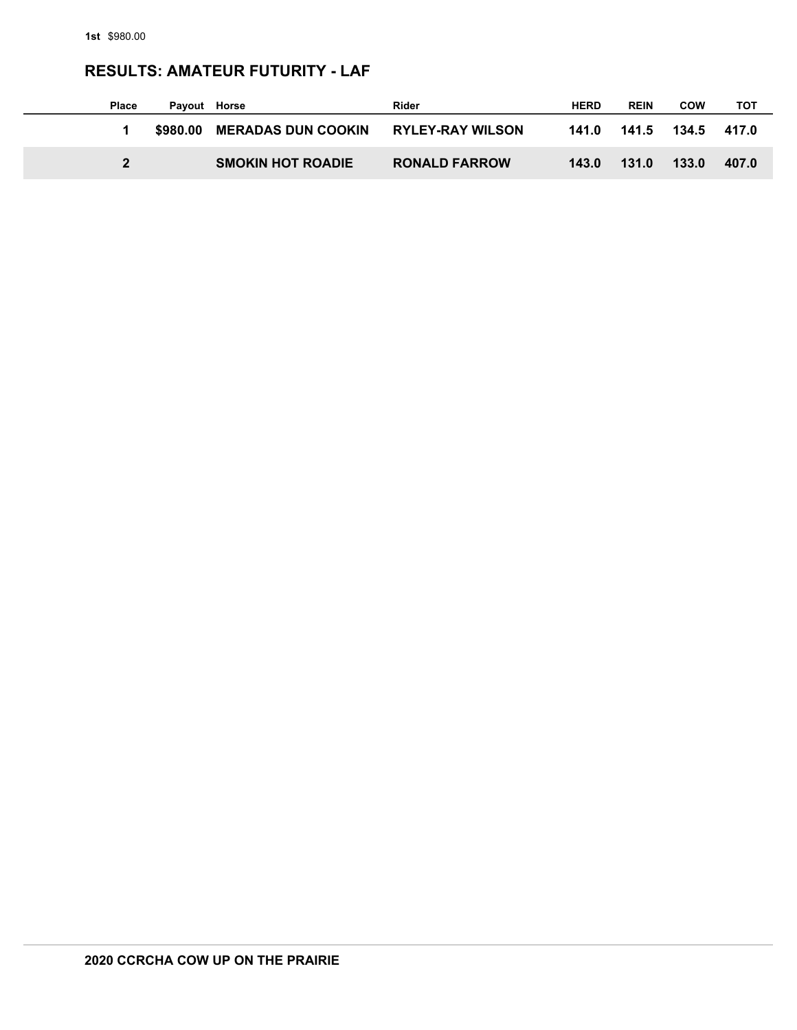### **RESULTS: AMATEUR FUTURITY - LAF**

| <b>Place</b> | Payout Horse |                             | Rider                   | <b>HERD</b> | <b>REIN</b>             | <b>COW</b> | тот   |
|--------------|--------------|-----------------------------|-------------------------|-------------|-------------------------|------------|-------|
|              |              | \$980.00 MERADAS DUN COOKIN | <b>RYLEY-RAY WILSON</b> |             | 141.0 141.5 134.5 417.0 |            |       |
|              |              | <b>SMOKIN HOT ROADIE</b>    | <b>RONALD FARROW</b>    | 143.0       | 131.0                   | 133.0      | 407.0 |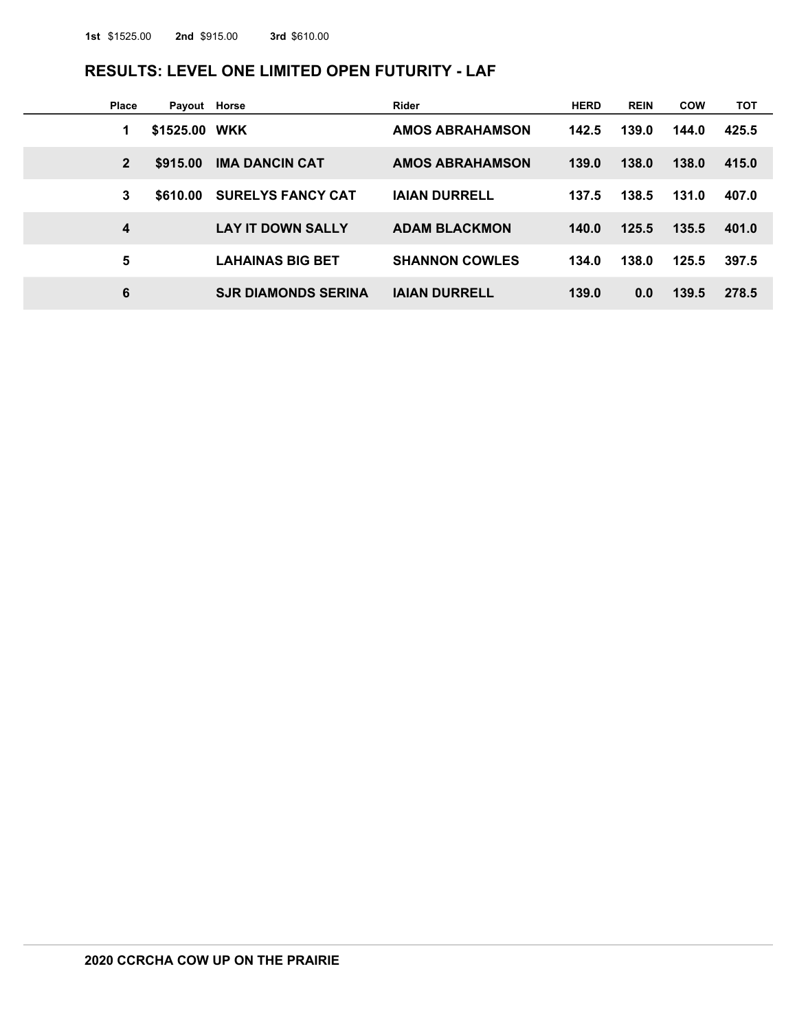# **RESULTS: LEVEL ONE LIMITED OPEN FUTURITY - LAF**

| <b>Place</b>   | Payout Horse  |                            | Rider                  | <b>HERD</b> | <b>REIN</b> | <b>COW</b> | тот   |
|----------------|---------------|----------------------------|------------------------|-------------|-------------|------------|-------|
| 1              | \$1525.00 WKK |                            | <b>AMOS ABRAHAMSON</b> | 142.5       | 139.0       | 144.0      | 425.5 |
| $\overline{2}$ | \$915.00      | <b>IMA DANCIN CAT</b>      | <b>AMOS ABRAHAMSON</b> | 139.0       | 138.0       | 138.0      | 415.0 |
| 3              | \$610.00      | <b>SURELYS FANCY CAT</b>   | <b>IAIAN DURRELL</b>   | 137.5       | 138.5       | 131.0      | 407.0 |
| 4              |               | <b>LAY IT DOWN SALLY</b>   | <b>ADAM BLACKMON</b>   | 140.0       | 125.5       | 135.5      | 401.0 |
| 5              |               | <b>LAHAINAS BIG BET</b>    | <b>SHANNON COWLES</b>  | 134.0       | 138.0       | 125.5      | 397.5 |
| 6              |               | <b>SJR DIAMONDS SERINA</b> | <b>IAIAN DURRELL</b>   | 139.0       | 0.0         | 139.5      | 278.5 |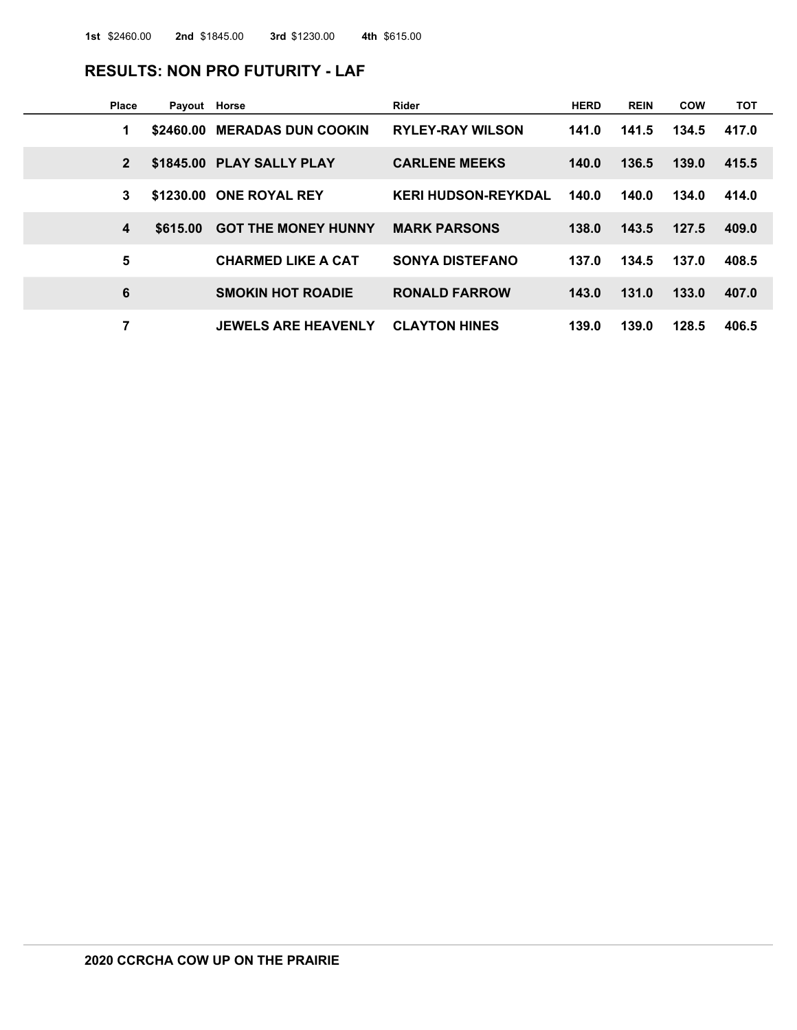#### **RESULTS: NON PRO FUTURITY - LAF**

| <b>Place</b>   | Payout Horse |                              | Rider                      | <b>HERD</b> | <b>REIN</b> | <b>COW</b> | тот   |
|----------------|--------------|------------------------------|----------------------------|-------------|-------------|------------|-------|
| 1              |              | \$2460.00 MERADAS DUN COOKIN | <b>RYLEY-RAY WILSON</b>    | 141.0       | 141.5       | 134.5      | 417.0 |
| $\overline{2}$ |              | \$1845.00 PLAY SALLY PLAY    | <b>CARLENE MEEKS</b>       | 140.0       | 136.5       | 139.0      | 415.5 |
| 3              | \$1230.00    | <b>ONE ROYAL REY</b>         | <b>KERI HUDSON-REYKDAL</b> | 140.0       | 140.0       | 134.0      | 414.0 |
| 4              | \$615.00     | <b>GOT THE MONEY HUNNY</b>   | <b>MARK PARSONS</b>        | 138.0       | 143.5       | 127.5      | 409.0 |
| 5              |              | <b>CHARMED LIKE A CAT</b>    | <b>SONYA DISTEFANO</b>     | 137.0       | 134.5       | 137.0      | 408.5 |
| 6              |              | <b>SMOKIN HOT ROADIE</b>     | <b>RONALD FARROW</b>       | 143.0       | 131.0       | 133.0      | 407.0 |
| 7              |              | <b>JEWELS ARE HEAVENLY</b>   | <b>CLAYTON HINES</b>       | 139.0       | 139.0       | 128.5      | 406.5 |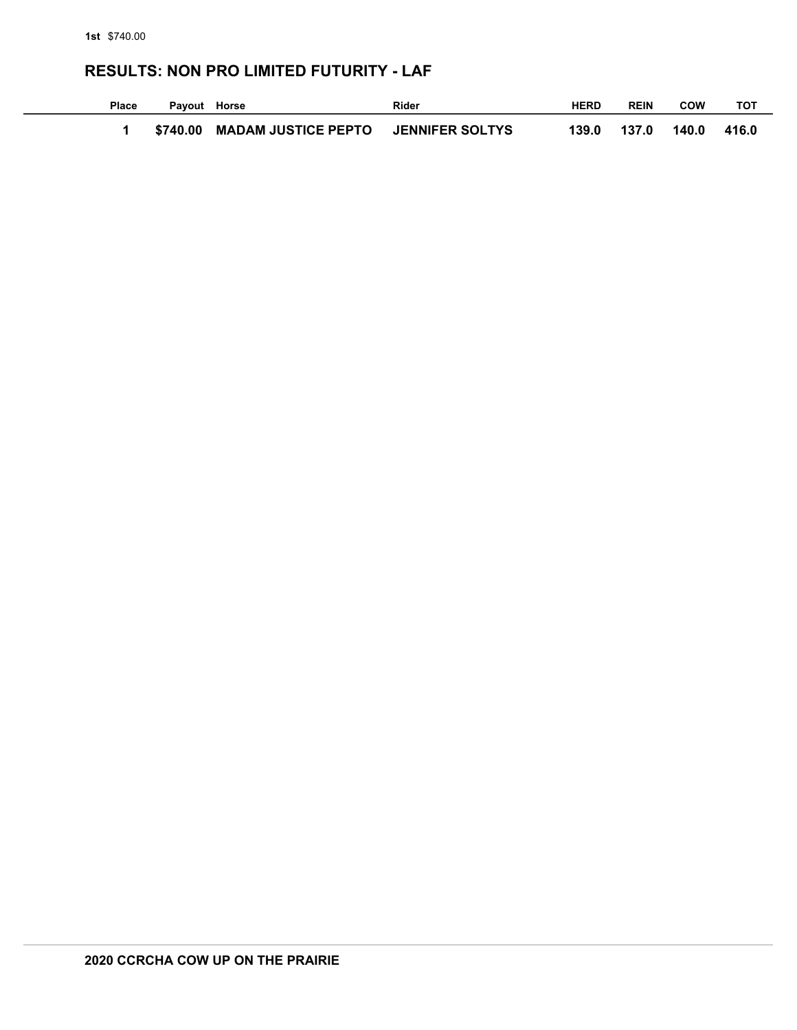## **RESULTS: NON PRO LIMITED FUTURITY - LAF**

| Place | Payout Horse |                                     | Rider | <b>HERD</b> | <b>REIN</b> | COW   | тот   |
|-------|--------------|-------------------------------------|-------|-------------|-------------|-------|-------|
|       | \$740.00     | MADAM JUSTICE PEPTO JENNIFER SOLTYS |       |             | 139.0 137.0 | 140.0 | 416.0 |